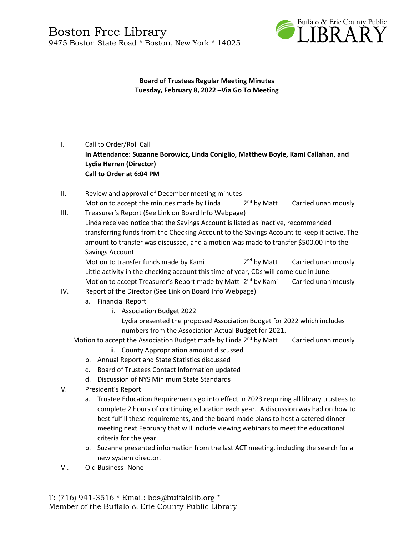

**Board of Trustees Regular Meeting Minutes Tuesday, February 8, 2022 –Via Go To Meeting**

### I. Call to Order/Roll Call

**In Attendance: Suzanne Borowicz, Linda Coniglio, Matthew Boyle, Kami Callahan, and Lydia Herren (Director) Call to Order at 6:04 PM**

- II. Review and approval of December meeting minutes Motion to accept the minutes made by Linda  $2<sup>nd</sup>$  by Matt Carried unanimously
- III. Treasurer's Report (See Link on Board Info Webpage) Linda received notice that the Savings Account is listed as inactive, recommended transferring funds from the Checking Account to the Savings Account to keep it active. The amount to transfer was discussed, and a motion was made to transfer \$500.00 into the Savings Account.

Motion to transfer funds made by Kami  $2<sup>nd</sup>$  by Matt Carried unanimously Little activity in the checking account this time of year, CDs will come due in June. Motion to accept Treasurer's Report made by Matt 2<sup>nd</sup> by Kami Carried unanimously

#### IV. Report of the Director (See Link on Board Info Webpage)

- a. Financial Report
	- i. Association Budget 2022

Lydia presented the proposed Association Budget for 2022 which includes numbers from the Association Actual Budget for 2021.

Motion to accept the Association Budget made by Linda  $2^{nd}$  by Matt Carried unanimously

- ii. County Appropriation amount discussed
- b. Annual Report and State Statistics discussed
- c. Board of Trustees Contact Information updated
- d. Discussion of NYS Minimum State Standards
- V. President's Report
	- a. Trustee Education Requirements go into effect in 2023 requiring all library trustees to complete 2 hours of continuing education each year. A discussion was had on how to best fulfill these requirements, and the board made plans to host a catered dinner meeting next February that will include viewing webinars to meet the educational criteria for the year.
	- b. Suzanne presented information from the last ACT meeting, including the search for a new system director.
- VI. Old Business- None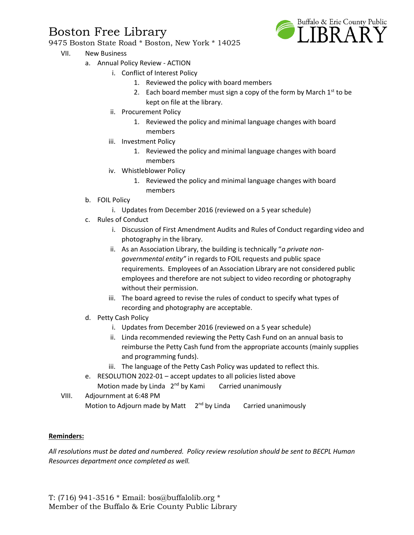# Boston Free Library



- 9475 Boston State Road \* Boston, New York \* 14025
	- VII. New Business
		- a. Annual Policy Review ACTION
			- i. Conflict of Interest Policy
				- 1. Reviewed the policy with board members
				- 2. Each board member must sign a copy of the form by March  $1^{st}$  to be kept on file at the library.
				- ii. Procurement Policy
					- 1. Reviewed the policy and minimal language changes with board members
			- iii. Investment Policy
				- 1. Reviewed the policy and minimal language changes with board members
			- iv. Whistleblower Policy
				- 1. Reviewed the policy and minimal language changes with board members
			- b. FOIL Policy
				- i. Updates from December 2016 (reviewed on a 5 year schedule)
			- c. Rules of Conduct
				- i. Discussion of First Amendment Audits and Rules of Conduct regarding video and photography in the library.
				- ii. As an Association Library, the building is technically "*a private nongovernmental entity"* in regards to FOIL requests and public space requirements. Employees of an Association Library are not considered public employees and therefore are not subject to video recording or photography without their permission.
				- iii. The board agreed to revise the rules of conduct to specify what types of recording and photography are acceptable.
			- d. Petty Cash Policy
				- i. Updates from December 2016 (reviewed on a 5 year schedule)
				- ii. Linda recommended reviewing the Petty Cash Fund on an annual basis to reimburse the Petty Cash fund from the appropriate accounts (mainly supplies and programming funds).
				- iii. The language of the Petty Cash Policy was updated to reflect this.
			- e. RESOLUTION 2022-01 accept updates to all policies listed above Motion made by Linda 2<sup>nd</sup> by Kami Carried unanimously
	- VIII. Adjournment at 6:48 PM Motion to Adjourn made by Matt 2<sup>nd</sup> by Linda Carried unanimously

#### **Reminders:**

*All resolutions must be dated and numbered. Policy review resolution should be sent to BECPL Human Resources department once completed as well.* 

T: (716) 941-3516 \* Email: [bos@buffalolib.org](mailto:bos@buffalolib.org) \* Member of the Buffalo & Erie County Public Library